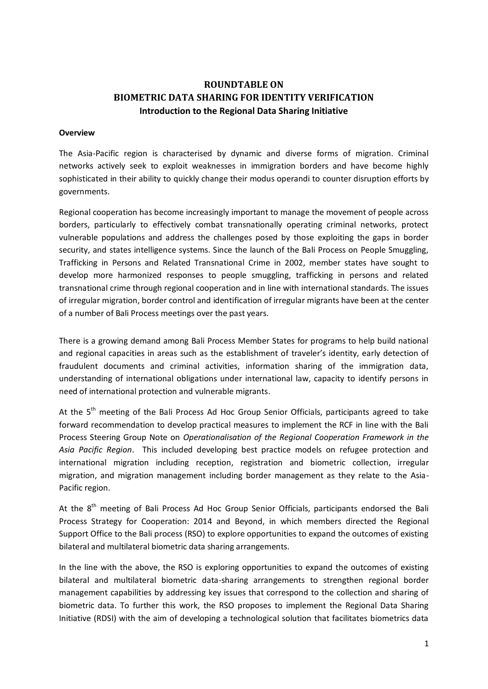# **ROUNDTABLE ON BIOMETRIC DATA SHARING FOR IDENTITY VERIFICATION Introduction to the Regional Data Sharing Initiative**

#### **Overview**

The Asia-Pacific region is characterised by dynamic and diverse forms of migration. Criminal networks actively seek to exploit weaknesses in immigration borders and have become highly sophisticated in their ability to quickly change their modus operandi to counter disruption efforts by governments.

Regional cooperation has become increasingly important to manage the movement of people across borders, particularly to effectively combat transnationally operating criminal networks, protect vulnerable populations and address the challenges posed by those exploiting the gaps in border security, and states intelligence systems. Since the launch of the Bali Process on People Smuggling, Trafficking in Persons and Related Transnational Crime in 2002, member states have sought to develop more harmonized responses to people smuggling, trafficking in persons and related transnational crime through regional cooperation and in line with international standards. The issues of irregular migration, border control and identification of irregular migrants have been at the center of a number of Bali Process meetings over the past years.

There is a growing demand among Bali Process Member States for programs to help build national and regional capacities in areas such as the establishment of traveler's identity, early detection of fraudulent documents and criminal activities, information sharing of the immigration data, understanding of international obligations under international law, capacity to identify persons in need of international protection and vulnerable migrants.

At the 5<sup>th</sup> meeting of the Bali Process Ad Hoc Group Senior Officials, participants agreed to take forward recommendation to develop practical measures to implement the RCF in line with the Bali Process Steering Group Note on *Operationalisation of the Regional Cooperation Framework in the Asia Pacific Region*. This included developing best practice models on refugee protection and international migration including reception, registration and biometric collection, irregular migration, and migration management including border management as they relate to the Asia-Pacific region.

At the 8<sup>th</sup> meeting of Bali Process Ad Hoc Group Senior Officials, participants endorsed the Bali Process Strategy for Cooperation: 2014 and Beyond, in which members directed the Regional Support Office to the Bali process (RSO) to explore opportunities to expand the outcomes of existing bilateral and multilateral biometric data sharing arrangements.

In the line with the above, the RSO is exploring opportunities to expand the outcomes of existing bilateral and multilateral biometric data-sharing arrangements to strengthen regional border management capabilities by addressing key issues that correspond to the collection and sharing of biometric data. To further this work, the RSO proposes to implement the Regional Data Sharing Initiative (RDSI) with the aim of developing a technological solution that facilitates biometrics data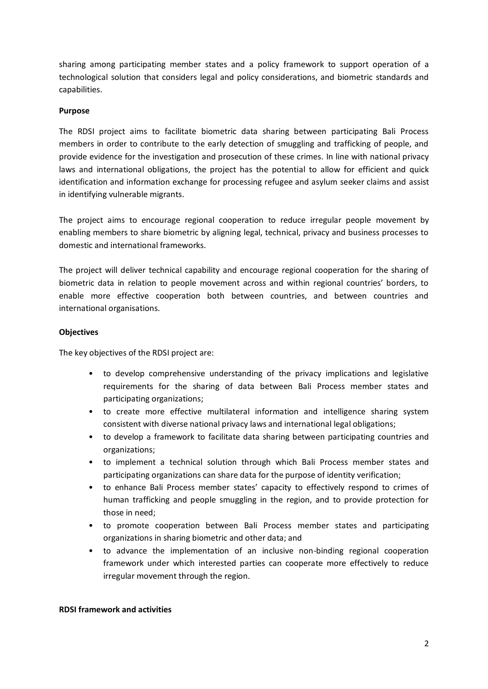sharing among participating member states and a policy framework to support operation of a technological solution that considers legal and policy considerations, and biometric standards and capabilities.

### **Purpose**

The RDSI project aims to facilitate biometric data sharing between participating Bali Process members in order to contribute to the early detection of smuggling and trafficking of people, and provide evidence for the investigation and prosecution of these crimes. In line with national privacy laws and international obligations, the project has the potential to allow for efficient and quick identification and information exchange for processing refugee and asylum seeker claims and assist in identifying vulnerable migrants.

The project aims to encourage regional cooperation to reduce irregular people movement by enabling members to share biometric by aligning legal, technical, privacy and business processes to domestic and international frameworks.

The project will deliver technical capability and encourage regional cooperation for the sharing of biometric data in relation to people movement across and within regional countries' borders, to enable more effective cooperation both between countries, and between countries and international organisations.

### **Objectives**

The key objectives of the RDSI project are:

- to develop comprehensive understanding of the privacy implications and legislative requirements for the sharing of data between Bali Process member states and participating organizations;
- to create more effective multilateral information and intelligence sharing system consistent with diverse national privacy laws and international legal obligations;
- to develop a framework to facilitate data sharing between participating countries and organizations;
- to implement a technical solution through which Bali Process member states and participating organizations can share data for the purpose of identity verification;
- to enhance Bali Process member states' capacity to effectively respond to crimes of human trafficking and people smuggling in the region, and to provide protection for those in need;
- to promote cooperation between Bali Process member states and participating organizations in sharing biometric and other data; and
- to advance the implementation of an inclusive non-binding regional cooperation framework under which interested parties can cooperate more effectively to reduce irregular movement through the region.

### **RDSI framework and activities**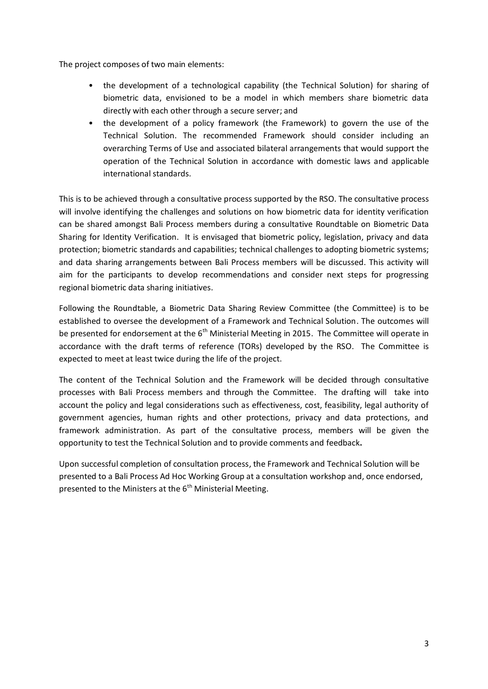The project composes of two main elements:

- the development of a technological capability (the Technical Solution) for sharing of biometric data, envisioned to be a model in which members share biometric data directly with each other through a secure server; and
- the development of a policy framework (the Framework) to govern the use of the Technical Solution. The recommended Framework should consider including an overarching Terms of Use and associated bilateral arrangements that would support the operation of the Technical Solution in accordance with domestic laws and applicable international standards.

This is to be achieved through a consultative process supported by the RSO. The consultative process will involve identifying the challenges and solutions on how biometric data for identity verification can be shared amongst Bali Process members during a consultative Roundtable on Biometric Data Sharing for Identity Verification. It is envisaged that biometric policy, legislation, privacy and data protection; biometric standards and capabilities; technical challenges to adopting biometric systems; and data sharing arrangements between Bali Process members will be discussed. This activity will aim for the participants to develop recommendations and consider next steps for progressing regional biometric data sharing initiatives.

Following the Roundtable, a Biometric Data Sharing Review Committee (the Committee) is to be established to oversee the development of a Framework and Technical Solution. The outcomes will be presented for endorsement at the 6<sup>th</sup> Ministerial Meeting in 2015. The Committee will operate in accordance with the draft terms of reference (TORs) developed by the RSO. The Committee is expected to meet at least twice during the life of the project.

The content of the Technical Solution and the Framework will be decided through consultative processes with Bali Process members and through the Committee. The drafting will take into account the policy and legal considerations such as effectiveness, cost, feasibility, legal authority of government agencies, human rights and other protections, privacy and data protections, and framework administration. As part of the consultative process, members will be given the opportunity to test the Technical Solution and to provide comments and feedback**.**

Upon successful completion of consultation process, the Framework and Technical Solution will be presented to a Bali Process Ad Hoc Working Group at a consultation workshop and, once endorsed, presented to the Ministers at the  $6<sup>th</sup>$  Ministerial Meeting.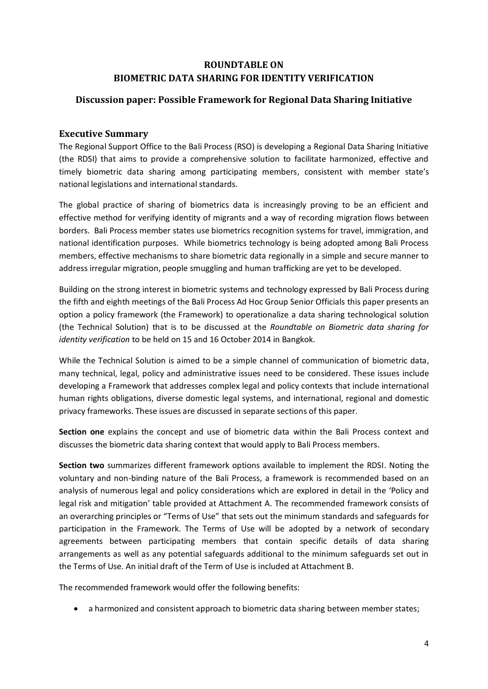# **ROUNDTABLE ON BIOMETRIC DATA SHARING FOR IDENTITY VERIFICATION**

# **Discussion paper: Possible Framework for Regional Data Sharing Initiative**

### **Executive Summary**

The Regional Support Office to the Bali Process (RSO) is developing a Regional Data Sharing Initiative (the RDSI) that aims to provide a comprehensive solution to facilitate harmonized, effective and timely biometric data sharing among participating members, consistent with member state's national legislations and international standards.

The global practice of sharing of biometrics data is increasingly proving to be an efficient and effective method for verifying identity of migrants and a way of recording migration flows between borders. Bali Process member states use biometrics recognition systems for travel, immigration, and national identification purposes. While biometrics technology is being adopted among Bali Process members, effective mechanisms to share biometric data regionally in a simple and secure manner to address irregular migration, people smuggling and human trafficking are yet to be developed.

Building on the strong interest in biometric systems and technology expressed by Bali Process during the fifth and eighth meetings of the Bali Process Ad Hoc Group Senior Officials this paper presents an option a policy framework (the Framework) to operationalize a data sharing technological solution (the Technical Solution) that is to be discussed at the *Roundtable on Biometric data sharing for identity verification* to be held on 15 and 16 October 2014 in Bangkok.

While the Technical Solution is aimed to be a simple channel of communication of biometric data, many technical, legal, policy and administrative issues need to be considered. These issues include developing a Framework that addresses complex legal and policy contexts that include international human rights obligations, diverse domestic legal systems, and international, regional and domestic privacy frameworks. These issues are discussed in separate sections of this paper.

**Section one** explains the concept and use of biometric data within the Bali Process context and discusses the biometric data sharing context that would apply to Bali Process members.

**Section two** summarizes different framework options available to implement the RDSI. Noting the voluntary and non-binding nature of the Bali Process, a framework is recommended based on an analysis of numerous legal and policy considerations which are explored in detail in the 'Policy and legal risk and mitigation' table provided at Attachment A. The recommended framework consists of an overarching principles or "Terms of Use" that sets out the minimum standards and safeguards for participation in the Framework. The Terms of Use will be adopted by a network of secondary agreements between participating members that contain specific details of data sharing arrangements as well as any potential safeguards additional to the minimum safeguards set out in the Terms of Use. An initial draft of the Term of Use is included at Attachment B.

The recommended framework would offer the following benefits:

a harmonized and consistent approach to biometric data sharing between member states;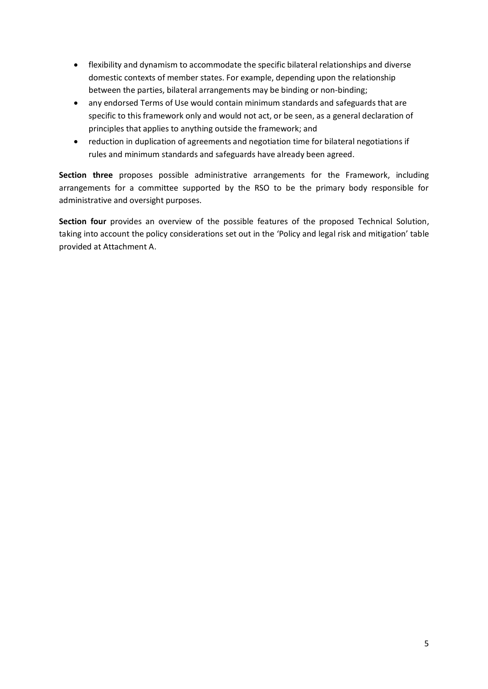- flexibility and dynamism to accommodate the specific bilateral relationships and diverse domestic contexts of member states. For example, depending upon the relationship between the parties, bilateral arrangements may be binding or non-binding;
- any endorsed Terms of Use would contain minimum standards and safeguards that are specific to this framework only and would not act, or be seen, as a general declaration of principles that applies to anything outside the framework; and
- reduction in duplication of agreements and negotiation time for bilateral negotiations if rules and minimum standards and safeguards have already been agreed.

**Section three** proposes possible administrative arrangements for the Framework, including arrangements for a committee supported by the RSO to be the primary body responsible for administrative and oversight purposes.

**Section four** provides an overview of the possible features of the proposed Technical Solution, taking into account the policy considerations set out in the 'Policy and legal risk and mitigation' table provided at Attachment A.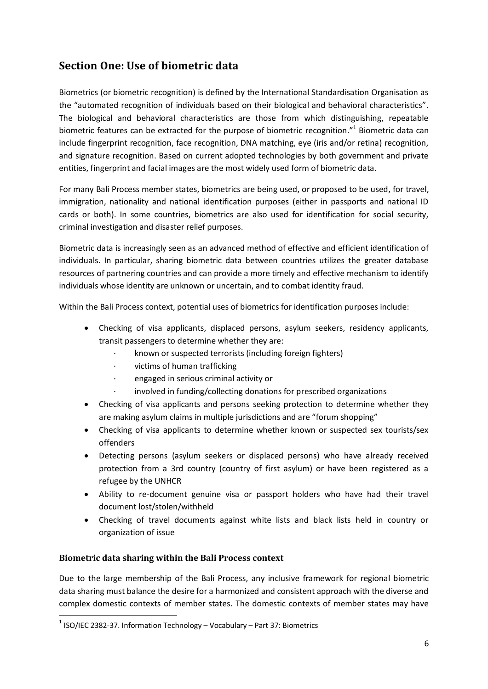# **Section One: Use of biometric data**

Biometrics (or biometric recognition) is defined by the International Standardisation Organisation as the "automated recognition of individuals based on their biological and behavioral characteristics". The biological and behavioral characteristics are those from which distinguishing, repeatable biometric features can be extracted for the purpose of biometric recognition."<sup>1</sup> Biometric data can include fingerprint recognition, face recognition, DNA matching, eye (iris and/or retina) recognition, and signature recognition. Based on current adopted technologies by both government and private entities, fingerprint and facial images are the most widely used form of biometric data.

For many Bali Process member states, biometrics are being used, or proposed to be used, for travel, immigration, nationality and national identification purposes (either in passports and national ID cards or both). In some countries, biometrics are also used for identification for social security, criminal investigation and disaster relief purposes.

Biometric data is increasingly seen as an advanced method of effective and efficient identification of individuals. In particular, sharing biometric data between countries utilizes the greater database resources of partnering countries and can provide a more timely and effective mechanism to identify individuals whose identity are unknown or uncertain, and to combat identity fraud.

Within the Bali Process context, potential uses of biometrics for identification purposes include:

- Checking of visa applicants, displaced persons, asylum seekers, residency applicants, transit passengers to determine whether they are:
	- · known or suspected terrorists (including foreign fighters)
	- · victims of human trafficking
	- · engaged in serious criminal activity or
	- involved in funding/collecting donations for prescribed organizations
- Checking of visa applicants and persons seeking protection to determine whether they are making asylum claims in multiple jurisdictions and are "forum shopping"
- Checking of visa applicants to determine whether known or suspected sex tourists/sex offenders
- Detecting persons (asylum seekers or displaced persons) who have already received protection from a 3rd country (country of first asylum) or have been registered as a refugee by the UNHCR
- Ability to re-document genuine visa or passport holders who have had their travel document lost/stolen/withheld
- Checking of travel documents against white lists and black lists held in country or organization of issue

### **Biometric data sharing within the Bali Process context**

1

Due to the large membership of the Bali Process, any inclusive framework for regional biometric data sharing must balance the desire for a harmonized and consistent approach with the diverse and complex domestic contexts of member states. The domestic contexts of member states may have

 $<sup>1</sup>$  ISO/IEC 2382-37. Information Technology – Vocabulary – Part 37: Biometrics</sup>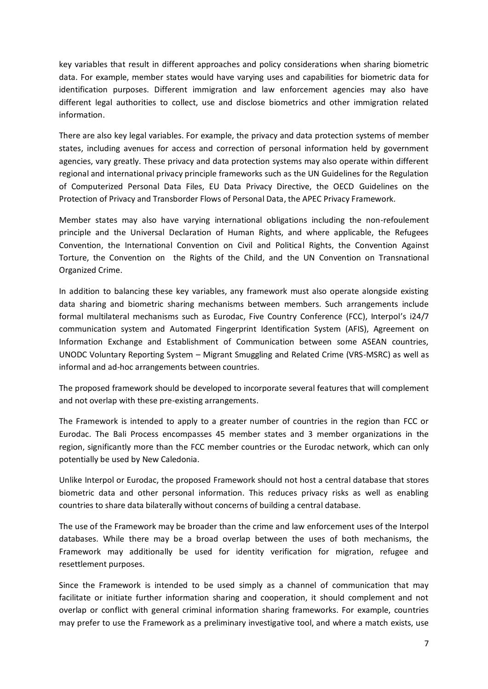key variables that result in different approaches and policy considerations when sharing biometric data. For example, member states would have varying uses and capabilities for biometric data for identification purposes. Different immigration and law enforcement agencies may also have different legal authorities to collect, use and disclose biometrics and other immigration related information.

There are also key legal variables. For example, the privacy and data protection systems of member states, including avenues for access and correction of personal information held by government agencies, vary greatly. These privacy and data protection systems may also operate within different regional and international privacy principle frameworks such as the UN Guidelines for the Regulation of Computerized Personal Data Files, EU Data Privacy Directive, the OECD Guidelines on the Protection of Privacy and Transborder Flows of Personal Data, the APEC Privacy Framework.

Member states may also have varying international obligations including the non-refoulement principle and the Universal Declaration of Human Rights, and where applicable, the Refugees Convention, the International Convention on Civil and Political Rights, the Convention Against Torture, the Convention on the Rights of the Child, and the UN Convention on Transnational Organized Crime.

In addition to balancing these key variables, any framework must also operate alongside existing data sharing and biometric sharing mechanisms between members. Such arrangements include formal multilateral mechanisms such as Eurodac, Five Country Conference (FCC), Interpol's i24/7 communication system and Automated Fingerprint Identification System (AFIS), Agreement on Information Exchange and Establishment of Communication between some ASEAN countries, UNODC Voluntary Reporting System – Migrant Smuggling and Related Crime (VRS-MSRC) as well as informal and ad-hoc arrangements between countries.

The proposed framework should be developed to incorporate several features that will complement and not overlap with these pre-existing arrangements.

The Framework is intended to apply to a greater number of countries in the region than FCC or Eurodac. The Bali Process encompasses 45 member states and 3 member organizations in the region, significantly more than the FCC member countries or the Eurodac network, which can only potentially be used by New Caledonia.

Unlike Interpol or Eurodac, the proposed Framework should not host a central database that stores biometric data and other personal information. This reduces privacy risks as well as enabling countries to share data bilaterally without concerns of building a central database.

The use of the Framework may be broader than the crime and law enforcement uses of the Interpol databases. While there may be a broad overlap between the uses of both mechanisms, the Framework may additionally be used for identity verification for migration, refugee and resettlement purposes.

Since the Framework is intended to be used simply as a channel of communication that may facilitate or initiate further information sharing and cooperation, it should complement and not overlap or conflict with general criminal information sharing frameworks. For example, countries may prefer to use the Framework as a preliminary investigative tool, and where a match exists, use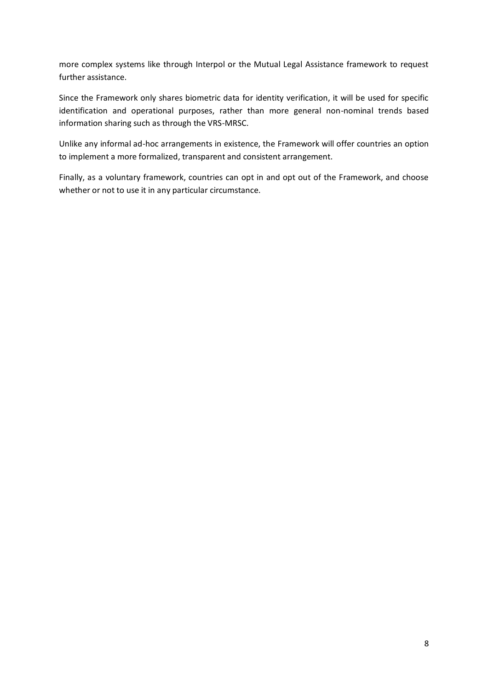more complex systems like through Interpol or the Mutual Legal Assistance framework to request further assistance.

Since the Framework only shares biometric data for identity verification, it will be used for specific identification and operational purposes, rather than more general non-nominal trends based information sharing such as through the VRS-MRSC.

Unlike any informal ad-hoc arrangements in existence, the Framework will offer countries an option to implement a more formalized, transparent and consistent arrangement.

Finally, as a voluntary framework, countries can opt in and opt out of the Framework, and choose whether or not to use it in any particular circumstance.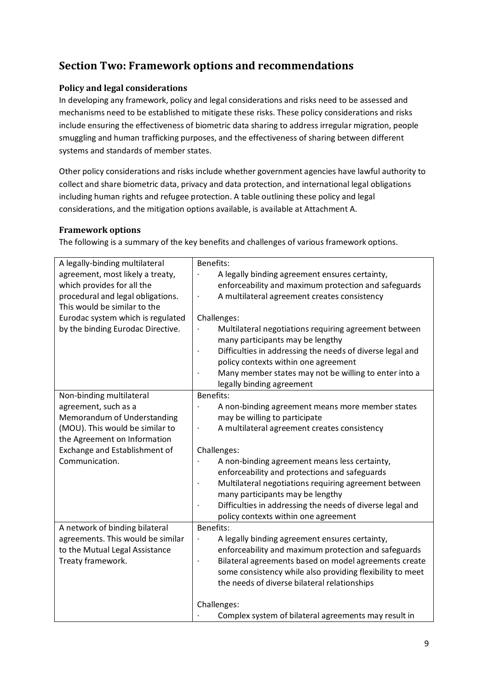# **Section Two: Framework options and recommendations**

### **Policy and legal considerations**

In developing any framework, policy and legal considerations and risks need to be assessed and mechanisms need to be established to mitigate these risks. These policy considerations and risks include ensuring the effectiveness of biometric data sharing to address irregular migration, people smuggling and human trafficking purposes, and the effectiveness of sharing between different systems and standards of member states.

Other policy considerations and risks include whether government agencies have lawful authority to collect and share biometric data, privacy and data protection, and international legal obligations including human rights and refugee protection. A table outlining these policy and legal considerations, and the mitigation options available, is available at Attachment A.

### **Framework options**

The following is a summary of the key benefits and challenges of various framework options.

| A legally-binding multilateral    | Benefits:                                                 |
|-----------------------------------|-----------------------------------------------------------|
| agreement, most likely a treaty,  | A legally binding agreement ensures certainty,            |
| which provides for all the        | enforceability and maximum protection and safeguards      |
| procedural and legal obligations. | A multilateral agreement creates consistency              |
| This would be similar to the      |                                                           |
| Eurodac system which is regulated | Challenges:                                               |
| by the binding Eurodac Directive. | Multilateral negotiations requiring agreement between     |
|                                   | many participants may be lengthy                          |
|                                   | Difficulties in addressing the needs of diverse legal and |
|                                   | policy contexts within one agreement                      |
|                                   | Many member states may not be willing to enter into a     |
|                                   | legally binding agreement                                 |
| Non-binding multilateral          | Benefits:                                                 |
| agreement, such as a              | A non-binding agreement means more member states          |
| Memorandum of Understanding       | may be willing to participate                             |
| (MOU). This would be similar to   | A multilateral agreement creates consistency              |
| the Agreement on Information      |                                                           |
| Exchange and Establishment of     | Challenges:                                               |
| Communication.                    | A non-binding agreement means less certainty,             |
|                                   | enforceability and protections and safeguards             |
|                                   | Multilateral negotiations requiring agreement between     |
|                                   | many participants may be lengthy                          |
|                                   | Difficulties in addressing the needs of diverse legal and |
|                                   | policy contexts within one agreement                      |
| A network of binding bilateral    | <b>Benefits:</b>                                          |
| agreements. This would be similar | A legally binding agreement ensures certainty,<br>$\cdot$ |
| to the Mutual Legal Assistance    | enforceability and maximum protection and safeguards      |
| Treaty framework.                 | Bilateral agreements based on model agreements create     |
|                                   | some consistency while also providing flexibility to meet |
|                                   | the needs of diverse bilateral relationships              |
|                                   |                                                           |
|                                   | Challenges:                                               |
|                                   | Complex system of bilateral agreements may result in      |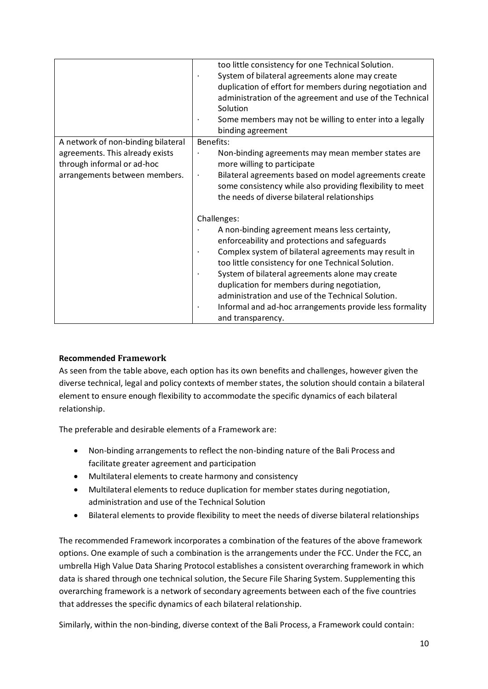|                                    | too little consistency for one Technical Solution.                   |
|------------------------------------|----------------------------------------------------------------------|
|                                    | System of bilateral agreements alone may create                      |
|                                    | duplication of effort for members during negotiation and             |
|                                    | administration of the agreement and use of the Technical             |
|                                    | Solution                                                             |
|                                    | Some members may not be willing to enter into a legally              |
|                                    | binding agreement                                                    |
| A network of non-binding bilateral | Benefits:                                                            |
| agreements. This already exists    | Non-binding agreements may mean member states are                    |
| through informal or ad-hoc         | more willing to participate                                          |
| arrangements between members.      | Bilateral agreements based on model agreements create<br>$\bullet$   |
|                                    | some consistency while also providing flexibility to meet            |
|                                    | the needs of diverse bilateral relationships                         |
|                                    | Challenges:                                                          |
|                                    | A non-binding agreement means less certainty,                        |
|                                    | enforceability and protections and safeguards                        |
|                                    | Complex system of bilateral agreements may result in                 |
|                                    | too little consistency for one Technical Solution.                   |
|                                    | System of bilateral agreements alone may create                      |
|                                    | duplication for members during negotiation,                          |
|                                    | administration and use of the Technical Solution.                    |
|                                    | Informal and ad-hoc arrangements provide less formality<br>$\bullet$ |
|                                    | and transparency.                                                    |

### **Recommended Framework**

As seen from the table above, each option has its own benefits and challenges, however given the diverse technical, legal and policy contexts of member states, the solution should contain a bilateral element to ensure enough flexibility to accommodate the specific dynamics of each bilateral relationship.

The preferable and desirable elements of a Framework are:

- Non-binding arrangements to reflect the non-binding nature of the Bali Process and facilitate greater agreement and participation
- Multilateral elements to create harmony and consistency
- Multilateral elements to reduce duplication for member states during negotiation, administration and use of the Technical Solution
- Bilateral elements to provide flexibility to meet the needs of diverse bilateral relationships

The recommended Framework incorporates a combination of the features of the above framework options. One example of such a combination is the arrangements under the FCC. Under the FCC, an umbrella High Value Data Sharing Protocol establishes a consistent overarching framework in which data is shared through one technical solution, the Secure File Sharing System. Supplementing this overarching framework is a network of secondary agreements between each of the five countries that addresses the specific dynamics of each bilateral relationship.

Similarly, within the non-binding, diverse context of the Bali Process, a Framework could contain: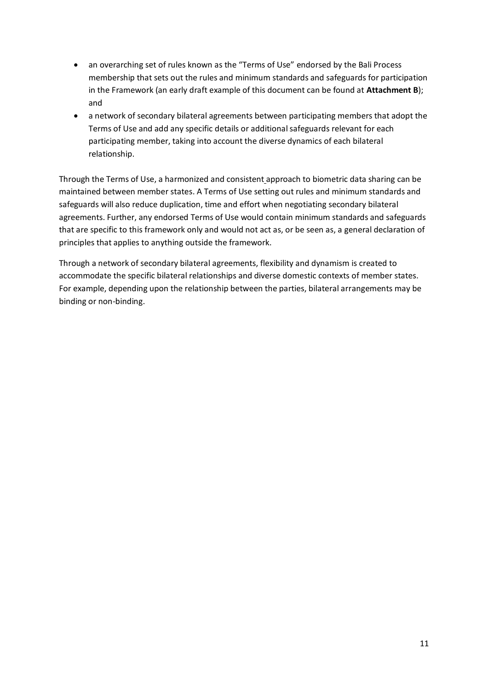- an overarching set of rules known as the "Terms of Use" endorsed by the Bali Process membership that sets out the rules and minimum standards and safeguards for participation in the Framework (an early draft example of this document can be found at **Attachment B**); and
- a network of secondary bilateral agreements between participating members that adopt the Terms of Use and add any specific details or additional safeguards relevant for each participating member, taking into account the diverse dynamics of each bilateral relationship.

Through the Terms of Use, a harmonized and consistent approach to biometric data sharing can be maintained between member states. A Terms of Use setting out rules and minimum standards and safeguards will also reduce duplication, time and effort when negotiating secondary bilateral agreements. Further, any endorsed Terms of Use would contain minimum standards and safeguards that are specific to this framework only and would not act as, or be seen as, a general declaration of principles that applies to anything outside the framework.

Through a network of secondary bilateral agreements, flexibility and dynamism is created to accommodate the specific bilateral relationships and diverse domestic contexts of member states. For example, depending upon the relationship between the parties, bilateral arrangements may be binding or non-binding.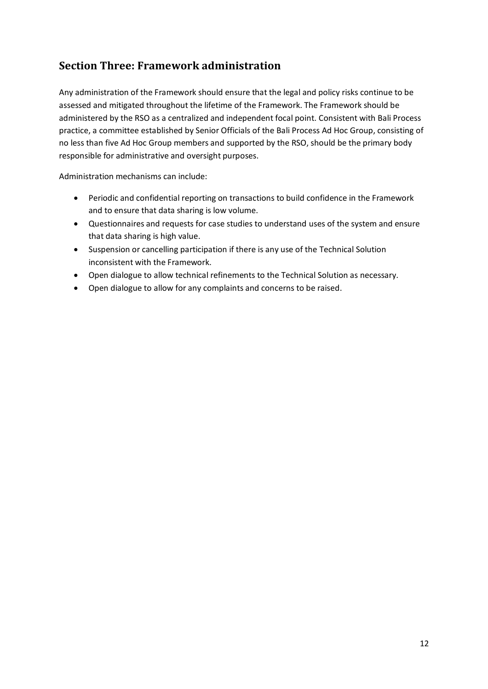# **Section Three: Framework administration**

Any administration of the Framework should ensure that the legal and policy risks continue to be assessed and mitigated throughout the lifetime of the Framework. The Framework should be administered by the RSO as a centralized and independent focal point. Consistent with Bali Process practice, a committee established by Senior Officials of the Bali Process Ad Hoc Group, consisting of no less than five Ad Hoc Group members and supported by the RSO, should be the primary body responsible for administrative and oversight purposes.

Administration mechanisms can include:

- Periodic and confidential reporting on transactions to build confidence in the Framework and to ensure that data sharing is low volume.
- Questionnaires and requests for case studies to understand uses of the system and ensure that data sharing is high value.
- Suspension or cancelling participation if there is any use of the Technical Solution inconsistent with the Framework.
- Open dialogue to allow technical refinements to the Technical Solution as necessary.
- Open dialogue to allow for any complaints and concerns to be raised.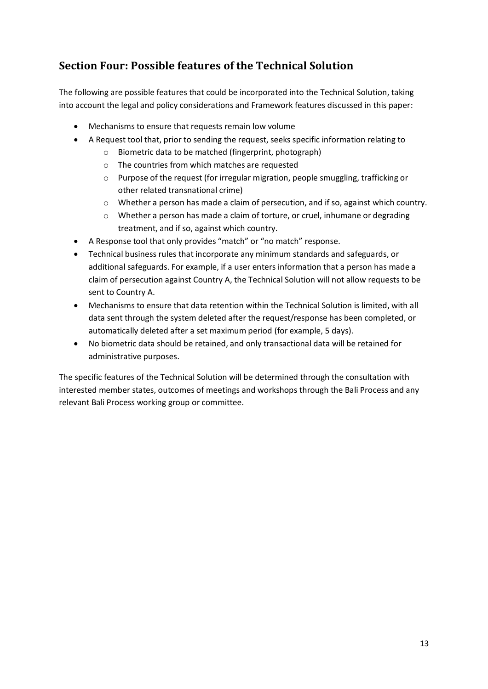# **Section Four: Possible features of the Technical Solution**

The following are possible features that could be incorporated into the Technical Solution, taking into account the legal and policy considerations and Framework features discussed in this paper:

- Mechanisms to ensure that requests remain low volume
- A Request tool that, prior to sending the request, seeks specific information relating to
	- o Biometric data to be matched (fingerprint, photograph)
	- o The countries from which matches are requested
	- o Purpose of the request (for irregular migration, people smuggling, trafficking or other related transnational crime)
	- o Whether a person has made a claim of persecution, and if so, against which country.
	- o Whether a person has made a claim of torture, or cruel, inhumane or degrading treatment, and if so, against which country.
- A Response tool that only provides "match" or "no match" response.
- Technical business rules that incorporate any minimum standards and safeguards, or additional safeguards. For example, if a user enters information that a person has made a claim of persecution against Country A, the Technical Solution will not allow requests to be sent to Country A.
- Mechanisms to ensure that data retention within the Technical Solution is limited, with all data sent through the system deleted after the request/response has been completed, or automatically deleted after a set maximum period (for example, 5 days).
- No biometric data should be retained, and only transactional data will be retained for administrative purposes.

The specific features of the Technical Solution will be determined through the consultation with interested member states, outcomes of meetings and workshops through the Bali Process and any relevant Bali Process working group or committee.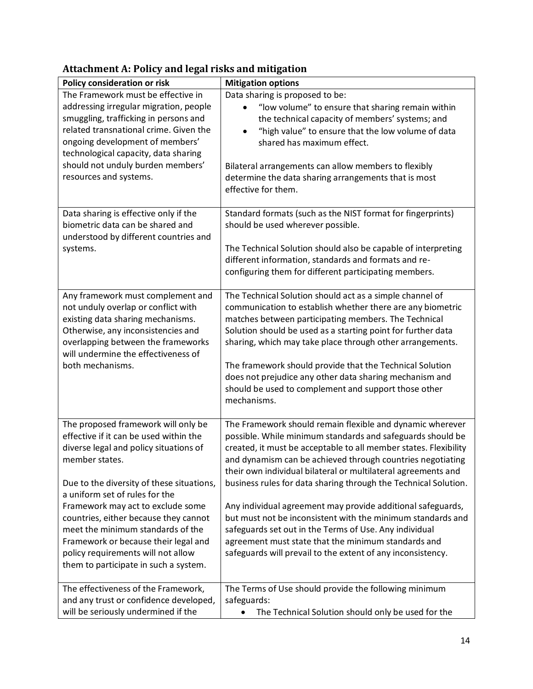| Policy consideration or risk                                                                                                                                                                                                                                                                                                                                                                                                                                       | <b>Mitigation options</b>                                                                                                                                                                                                                                                                                                                                                                                                                                                                                                                                                                                                                                                                                   |
|--------------------------------------------------------------------------------------------------------------------------------------------------------------------------------------------------------------------------------------------------------------------------------------------------------------------------------------------------------------------------------------------------------------------------------------------------------------------|-------------------------------------------------------------------------------------------------------------------------------------------------------------------------------------------------------------------------------------------------------------------------------------------------------------------------------------------------------------------------------------------------------------------------------------------------------------------------------------------------------------------------------------------------------------------------------------------------------------------------------------------------------------------------------------------------------------|
| The Framework must be effective in<br>addressing irregular migration, people<br>smuggling, trafficking in persons and<br>related transnational crime. Given the<br>ongoing development of members'<br>technological capacity, data sharing<br>should not unduly burden members'<br>resources and systems.                                                                                                                                                          | Data sharing is proposed to be:<br>"low volume" to ensure that sharing remain within<br>the technical capacity of members' systems; and<br>"high value" to ensure that the low volume of data<br>$\bullet$<br>shared has maximum effect.<br>Bilateral arrangements can allow members to flexibly<br>determine the data sharing arrangements that is most<br>effective for them.                                                                                                                                                                                                                                                                                                                             |
| Data sharing is effective only if the<br>biometric data can be shared and<br>understood by different countries and<br>systems.                                                                                                                                                                                                                                                                                                                                     | Standard formats (such as the NIST format for fingerprints)<br>should be used wherever possible.<br>The Technical Solution should also be capable of interpreting<br>different information, standards and formats and re-<br>configuring them for different participating members.                                                                                                                                                                                                                                                                                                                                                                                                                          |
| Any framework must complement and<br>not unduly overlap or conflict with<br>existing data sharing mechanisms.<br>Otherwise, any inconsistencies and<br>overlapping between the frameworks<br>will undermine the effectiveness of<br>both mechanisms.                                                                                                                                                                                                               | The Technical Solution should act as a simple channel of<br>communication to establish whether there are any biometric<br>matches between participating members. The Technical<br>Solution should be used as a starting point for further data<br>sharing, which may take place through other arrangements.<br>The framework should provide that the Technical Solution<br>does not prejudice any other data sharing mechanism and<br>should be used to complement and support those other<br>mechanisms.                                                                                                                                                                                                   |
| The proposed framework will only be<br>effective if it can be used within the<br>diverse legal and policy situations of<br>member states.<br>Due to the diversity of these situations,<br>a uniform set of rules for the<br>Framework may act to exclude some<br>countries, either because they cannot<br>meet the minimum standards of the<br>Framework or because their legal and<br>policy requirements will not allow<br>them to participate in such a system. | The Framework should remain flexible and dynamic wherever<br>possible. While minimum standards and safeguards should be<br>created, it must be acceptable to all member states. Flexibility<br>and dynamism can be achieved through countries negotiating<br>their own individual bilateral or multilateral agreements and<br>business rules for data sharing through the Technical Solution.<br>Any individual agreement may provide additional safeguards,<br>but must not be inconsistent with the minimum standards and<br>safeguards set out in the Terms of Use. Any individual<br>agreement must state that the minimum standards and<br>safeguards will prevail to the extent of any inconsistency. |
| The effectiveness of the Framework,<br>and any trust or confidence developed,<br>will be seriously undermined if the                                                                                                                                                                                                                                                                                                                                               | The Terms of Use should provide the following minimum<br>safeguards:<br>The Technical Solution should only be used for the                                                                                                                                                                                                                                                                                                                                                                                                                                                                                                                                                                                  |

# **Attachment A: Policy and legal risks and mitigation**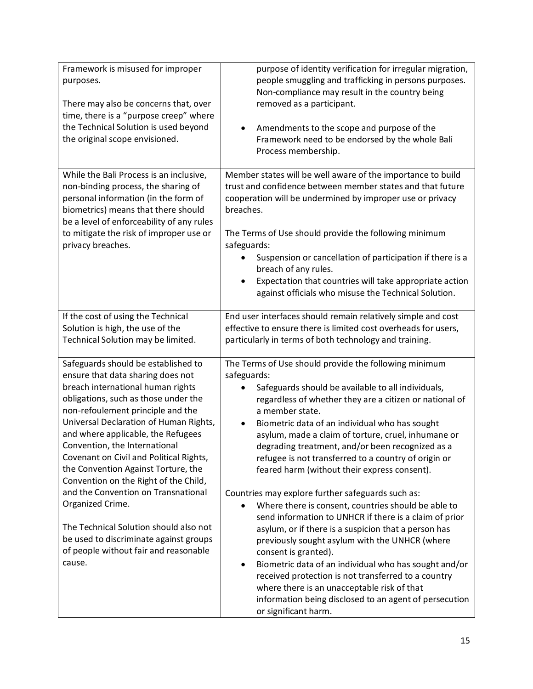| Framework is misused for improper<br>purposes.<br>There may also be concerns that, over<br>time, there is a "purpose creep" where<br>the Technical Solution is used beyond<br>the original scope envisioned.                                                                                                                                                                                                                                                                                                                                                                                                                             | purpose of identity verification for irregular migration,<br>people smuggling and trafficking in persons purposes.<br>Non-compliance may result in the country being<br>removed as a participant.<br>Amendments to the scope and purpose of the<br>$\bullet$<br>Framework need to be endorsed by the whole Bali<br>Process membership.                                                                                                                                                                                                                                                                                                                                                                                                                                                                                                                                                                                                                                                                                                              |
|------------------------------------------------------------------------------------------------------------------------------------------------------------------------------------------------------------------------------------------------------------------------------------------------------------------------------------------------------------------------------------------------------------------------------------------------------------------------------------------------------------------------------------------------------------------------------------------------------------------------------------------|-----------------------------------------------------------------------------------------------------------------------------------------------------------------------------------------------------------------------------------------------------------------------------------------------------------------------------------------------------------------------------------------------------------------------------------------------------------------------------------------------------------------------------------------------------------------------------------------------------------------------------------------------------------------------------------------------------------------------------------------------------------------------------------------------------------------------------------------------------------------------------------------------------------------------------------------------------------------------------------------------------------------------------------------------------|
| While the Bali Process is an inclusive,<br>non-binding process, the sharing of<br>personal information (in the form of<br>biometrics) means that there should<br>be a level of enforceability of any rules<br>to mitigate the risk of improper use or<br>privacy breaches.                                                                                                                                                                                                                                                                                                                                                               | Member states will be well aware of the importance to build<br>trust and confidence between member states and that future<br>cooperation will be undermined by improper use or privacy<br>breaches.<br>The Terms of Use should provide the following minimum<br>safeguards:<br>Suspension or cancellation of participation if there is a<br>breach of any rules.<br>Expectation that countries will take appropriate action<br>against officials who misuse the Technical Solution.                                                                                                                                                                                                                                                                                                                                                                                                                                                                                                                                                                 |
| If the cost of using the Technical<br>Solution is high, the use of the<br>Technical Solution may be limited.                                                                                                                                                                                                                                                                                                                                                                                                                                                                                                                             | End user interfaces should remain relatively simple and cost<br>effective to ensure there is limited cost overheads for users,<br>particularly in terms of both technology and training.                                                                                                                                                                                                                                                                                                                                                                                                                                                                                                                                                                                                                                                                                                                                                                                                                                                            |
| Safeguards should be established to<br>ensure that data sharing does not<br>breach international human rights<br>obligations, such as those under the<br>non-refoulement principle and the<br>Universal Declaration of Human Rights,<br>and where applicable, the Refugees<br>Convention, the International<br>Covenant on Civil and Political Rights,<br>the Convention Against Torture, the<br>Convention on the Right of the Child,<br>and the Convention on Transnational<br>Organized Crime.<br>The Technical Solution should also not<br>be used to discriminate against groups<br>of people without fair and reasonable<br>cause. | The Terms of Use should provide the following minimum<br>safeguards:<br>Safeguards should be available to all individuals,<br>regardless of whether they are a citizen or national of<br>a member state.<br>Biometric data of an individual who has sought<br>asylum, made a claim of torture, cruel, inhumane or<br>degrading treatment, and/or been recognized as a<br>refugee is not transferred to a country of origin or<br>feared harm (without their express consent).<br>Countries may explore further safeguards such as:<br>Where there is consent, countries should be able to<br>send information to UNHCR if there is a claim of prior<br>asylum, or if there is a suspicion that a person has<br>previously sought asylum with the UNHCR (where<br>consent is granted).<br>Biometric data of an individual who has sought and/or<br>$\bullet$<br>received protection is not transferred to a country<br>where there is an unacceptable risk of that<br>information being disclosed to an agent of persecution<br>or significant harm. |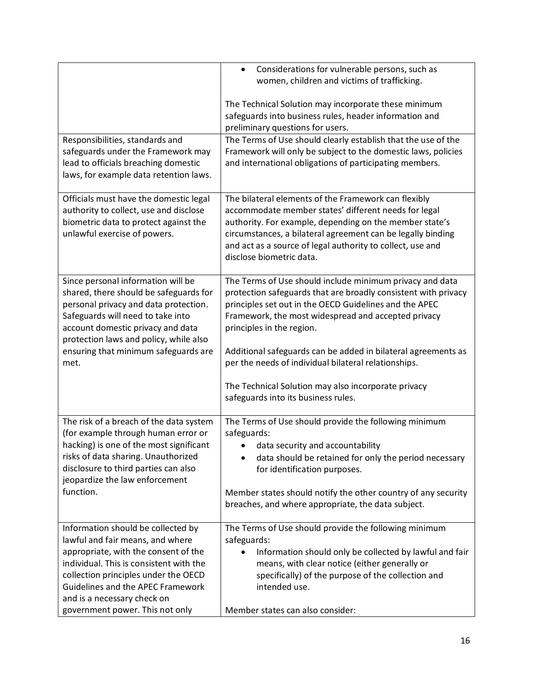|                                                                                                                                                                                                                                                                                                                 | Considerations for vulnerable persons, such as<br>$\bullet$<br>women, children and victims of trafficking.                                                                                                                                                                                                                                                                                                                                                                                      |
|-----------------------------------------------------------------------------------------------------------------------------------------------------------------------------------------------------------------------------------------------------------------------------------------------------------------|-------------------------------------------------------------------------------------------------------------------------------------------------------------------------------------------------------------------------------------------------------------------------------------------------------------------------------------------------------------------------------------------------------------------------------------------------------------------------------------------------|
|                                                                                                                                                                                                                                                                                                                 | The Technical Solution may incorporate these minimum<br>safeguards into business rules, header information and<br>preliminary questions for users.                                                                                                                                                                                                                                                                                                                                              |
| Responsibilities, standards and<br>safeguards under the Framework may<br>lead to officials breaching domestic<br>laws, for example data retention laws.                                                                                                                                                         | The Terms of Use should clearly establish that the use of the<br>Framework will only be subject to the domestic laws, policies<br>and international obligations of participating members.                                                                                                                                                                                                                                                                                                       |
| Officials must have the domestic legal<br>authority to collect, use and disclose<br>biometric data to protect against the<br>unlawful exercise of powers.                                                                                                                                                       | The bilateral elements of the Framework can flexibly<br>accommodate member states' different needs for legal<br>authority. For example, depending on the member state's<br>circumstances, a bilateral agreement can be legally binding<br>and act as a source of legal authority to collect, use and<br>disclose biometric data.                                                                                                                                                                |
| Since personal information will be<br>shared, there should be safeguards for<br>personal privacy and data protection.<br>Safeguards will need to take into<br>account domestic privacy and data<br>protection laws and policy, while also<br>ensuring that minimum safeguards are<br>met.                       | The Terms of Use should include minimum privacy and data<br>protection safeguards that are broadly consistent with privacy<br>principles set out in the OECD Guidelines and the APEC<br>Framework, the most widespread and accepted privacy<br>principles in the region.<br>Additional safeguards can be added in bilateral agreements as<br>per the needs of individual bilateral relationships.<br>The Technical Solution may also incorporate privacy<br>safeguards into its business rules. |
| The risk of a breach of the data system<br>(for example through human error or<br>hacking) is one of the most significant<br>risks of data sharing. Unauthorized<br>disclosure to third parties can also<br>jeopardize the law enforcement<br>function.                                                         | The Terms of Use should provide the following minimum<br>safeguards:<br>data security and accountability<br>data should be retained for only the period necessary<br>for identification purposes.<br>Member states should notify the other country of any security<br>breaches, and where appropriate, the data subject.                                                                                                                                                                        |
| Information should be collected by<br>lawful and fair means, and where<br>appropriate, with the consent of the<br>individual. This is consistent with the<br>collection principles under the OECD<br><b>Guidelines and the APEC Framework</b><br>and is a necessary check on<br>government power. This not only | The Terms of Use should provide the following minimum<br>safeguards:<br>Information should only be collected by lawful and fair<br>means, with clear notice (either generally or<br>specifically) of the purpose of the collection and<br>intended use.<br>Member states can also consider:                                                                                                                                                                                                     |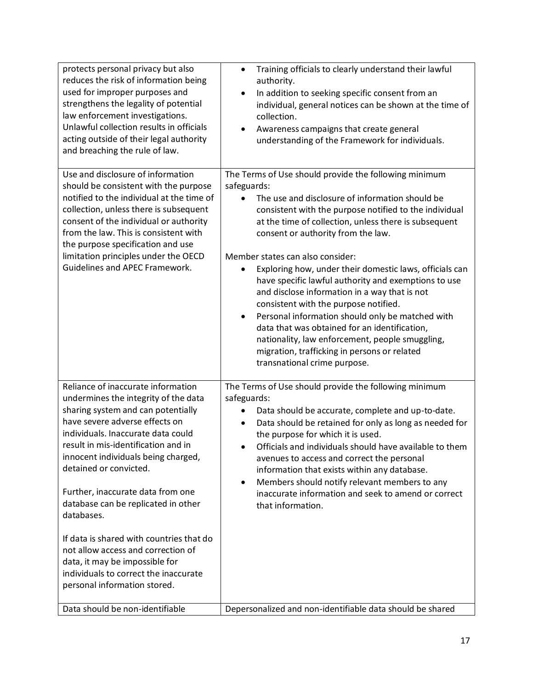| protects personal privacy but also<br>reduces the risk of information being<br>used for improper purposes and<br>strengthens the legality of potential<br>law enforcement investigations.<br>Unlawful collection results in officials<br>acting outside of their legal authority<br>and breaching the rule of law.                                                                                                                                                                                                                                                                      | Training officials to clearly understand their lawful<br>$\bullet$<br>authority.<br>In addition to seeking specific consent from an<br>individual, general notices can be shown at the time of<br>collection.<br>Awareness campaigns that create general<br>understanding of the Framework for individuals.                                                                                                                                                                                                                                                                                                                                                                                                                                                               |
|-----------------------------------------------------------------------------------------------------------------------------------------------------------------------------------------------------------------------------------------------------------------------------------------------------------------------------------------------------------------------------------------------------------------------------------------------------------------------------------------------------------------------------------------------------------------------------------------|---------------------------------------------------------------------------------------------------------------------------------------------------------------------------------------------------------------------------------------------------------------------------------------------------------------------------------------------------------------------------------------------------------------------------------------------------------------------------------------------------------------------------------------------------------------------------------------------------------------------------------------------------------------------------------------------------------------------------------------------------------------------------|
| Use and disclosure of information<br>should be consistent with the purpose<br>notified to the individual at the time of<br>collection, unless there is subsequent<br>consent of the individual or authority<br>from the law. This is consistent with<br>the purpose specification and use<br>limitation principles under the OECD<br><b>Guidelines and APEC Framework.</b>                                                                                                                                                                                                              | The Terms of Use should provide the following minimum<br>safeguards:<br>The use and disclosure of information should be<br>consistent with the purpose notified to the individual<br>at the time of collection, unless there is subsequent<br>consent or authority from the law.<br>Member states can also consider:<br>Exploring how, under their domestic laws, officials can<br>have specific lawful authority and exemptions to use<br>and disclose information in a way that is not<br>consistent with the purpose notified.<br>Personal information should only be matched with<br>data that was obtained for an identification,<br>nationality, law enforcement, people smuggling,<br>migration, trafficking in persons or related<br>transnational crime purpose. |
| Reliance of inaccurate information<br>undermines the integrity of the data<br>sharing system and can potentially<br>have severe adverse effects on<br>individuals. Inaccurate data could<br>result in mis-identification and in<br>innocent individuals being charged,<br>detained or convicted.<br>Further, inaccurate data from one<br>database can be replicated in other<br>databases.<br>If data is shared with countries that do<br>not allow access and correction of<br>data, it may be impossible for<br>individuals to correct the inaccurate<br>personal information stored. | The Terms of Use should provide the following minimum<br>safeguards:<br>Data should be accurate, complete and up-to-date.<br>Data should be retained for only as long as needed for<br>٠<br>the purpose for which it is used.<br>Officials and individuals should have available to them<br>avenues to access and correct the personal<br>information that exists within any database.<br>Members should notify relevant members to any<br>$\bullet$<br>inaccurate information and seek to amend or correct<br>that information.                                                                                                                                                                                                                                          |
| Data should be non-identifiable                                                                                                                                                                                                                                                                                                                                                                                                                                                                                                                                                         | Depersonalized and non-identifiable data should be shared                                                                                                                                                                                                                                                                                                                                                                                                                                                                                                                                                                                                                                                                                                                 |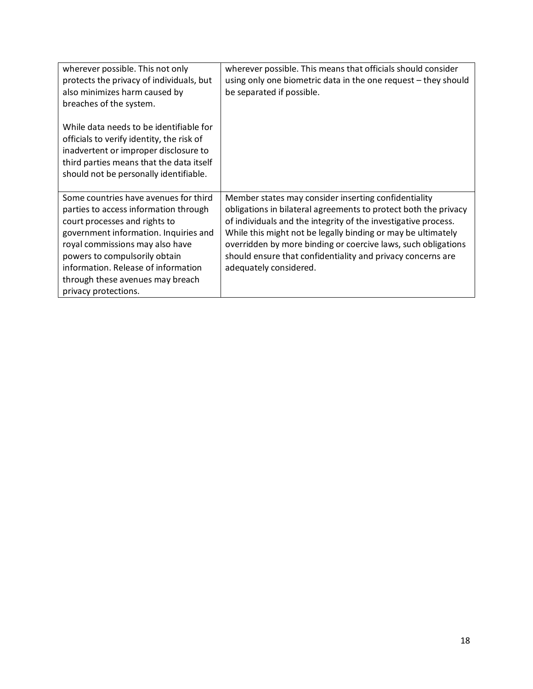| wherever possible. This not only<br>protects the privacy of individuals, but<br>also minimizes harm caused by<br>breaches of the system.                                                                                                                                                                                        | wherever possible. This means that officials should consider<br>using only one biometric data in the one request - they should<br>be separated if possible.                                                                                                                                                                                                                                                         |
|---------------------------------------------------------------------------------------------------------------------------------------------------------------------------------------------------------------------------------------------------------------------------------------------------------------------------------|---------------------------------------------------------------------------------------------------------------------------------------------------------------------------------------------------------------------------------------------------------------------------------------------------------------------------------------------------------------------------------------------------------------------|
| While data needs to be identifiable for<br>officials to verify identity, the risk of<br>inadvertent or improper disclosure to<br>third parties means that the data itself<br>should not be personally identifiable.                                                                                                             |                                                                                                                                                                                                                                                                                                                                                                                                                     |
| Some countries have avenues for third<br>parties to access information through<br>court processes and rights to<br>government information. Inquiries and<br>royal commissions may also have<br>powers to compulsorily obtain<br>information. Release of information<br>through these avenues may breach<br>privacy protections. | Member states may consider inserting confidentiality<br>obligations in bilateral agreements to protect both the privacy<br>of individuals and the integrity of the investigative process.<br>While this might not be legally binding or may be ultimately<br>overridden by more binding or coercive laws, such obligations<br>should ensure that confidentiality and privacy concerns are<br>adequately considered. |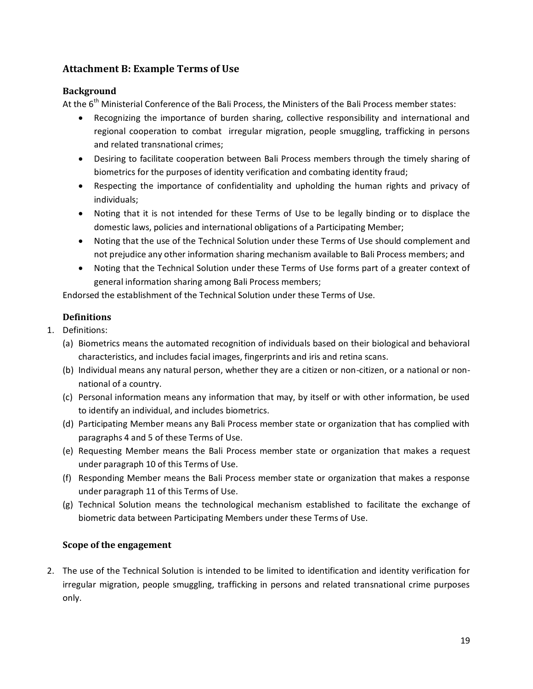# **Attachment B: Example Terms of Use**

### **Background**

At the  $6<sup>th</sup>$  Ministerial Conference of the Bali Process, the Ministers of the Bali Process member states:

- Recognizing the importance of burden sharing, collective responsibility and international and regional cooperation to combat irregular migration, people smuggling, trafficking in persons and related transnational crimes;
- Desiring to facilitate cooperation between Bali Process members through the timely sharing of biometrics for the purposes of identity verification and combating identity fraud;
- Respecting the importance of confidentiality and upholding the human rights and privacy of individuals;
- Noting that it is not intended for these Terms of Use to be legally binding or to displace the domestic laws, policies and international obligations of a Participating Member;
- Noting that the use of the Technical Solution under these Terms of Use should complement and not prejudice any other information sharing mechanism available to Bali Process members; and
- Noting that the Technical Solution under these Terms of Use forms part of a greater context of general information sharing among Bali Process members;

Endorsed the establishment of the Technical Solution under these Terms of Use.

# **Definitions**

- 1. Definitions:
	- (a) Biometrics means the automated recognition of individuals based on their biological and behavioral characteristics, and includes facial images, fingerprints and iris and retina scans.
	- (b) Individual means any natural person, whether they are a citizen or non-citizen, or a national or nonnational of a country.
	- (c) Personal information means any information that may, by itself or with other information, be used to identify an individual, and includes biometrics.
	- (d) Participating Member means any Bali Process member state or organization that has complied with paragraphs 4 and 5 of these Terms of Use.
	- (e) Requesting Member means the Bali Process member state or organization that makes a request under paragraph 10 of this Terms of Use.
	- (f) Responding Member means the Bali Process member state or organization that makes a response under paragraph 11 of this Terms of Use.
	- (g) Technical Solution means the technological mechanism established to facilitate the exchange of biometric data between Participating Members under these Terms of Use.

### **Scope of the engagement**

2. The use of the Technical Solution is intended to be limited to identification and identity verification for irregular migration, people smuggling, trafficking in persons and related transnational crime purposes only.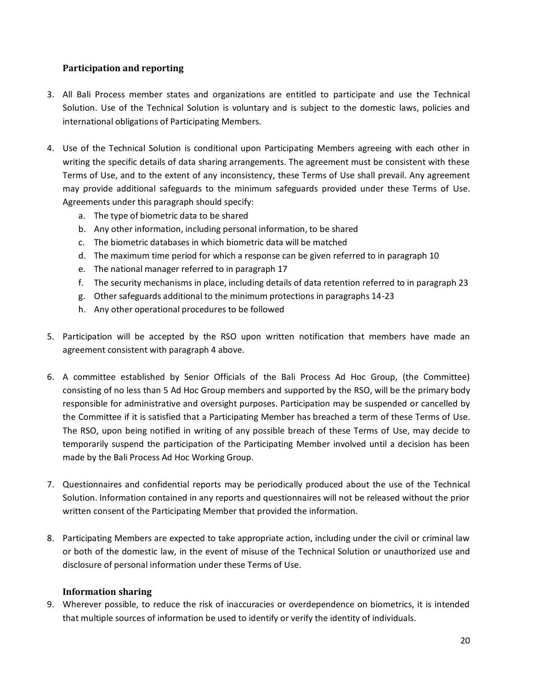### **Participation and reporting**

- 3. All Bali Process member states and organizations are entitled to participate and use the Technical Solution. Use of the Technical Solution is voluntary and is subject to the domestic laws, policies and international obligations of Participating Members.
- 4. Use of the Technical Solution is conditional upon Participating Members agreeing with each other in writing the specific details of data sharing arrangements. The agreement must be consistent with these Terms of Use, and to the extent of any inconsistency, these Terms of Use shall prevail. Any agreement may provide additional safeguards to the minimum safeguards provided under these Terms of Use. Agreements under this paragraph should specify:
	- a. The type of biometric data to be shared
	- b. Any other information, including personal information, to be shared
	- c. The biometric databases in which biometric data will be matched
	- d. The maximum time period for which a response can be given referred to in paragraph 10
	- e. The national manager referred to in paragraph 17
	- f. The security mechanisms in place, including details of data retention referred to in paragraph 23
	- g. Other safeguards additional to the minimum protections in paragraphs 14-23
	- h. Any other operational procedures to be followed
- 5. Participation will be accepted by the RSO upon written notification that members have made an agreement consistent with paragraph 4 above.
- 6. A committee established by Senior Officials of the Bali Process Ad Hoc Group, (the Committee) consisting of no less than 5 Ad Hoc Group members and supported by the RSO, will be the primary body responsible for administrative and oversight purposes. Participation may be suspended or cancelled by the Committee if it is satisfied that a Participating Member has breached a term of these Terms of Use. The RSO, upon being notified in writing of any possible breach of these Terms of Use, may decide to temporarily suspend the participation of the Participating Member involved until a decision has been made by the Bali Process Ad Hoc Working Group.
- 7. Questionnaires and confidential reports may be periodically produced about the use of the Technical Solution. Information contained in any reports and questionnaires will not be released without the prior written consent of the Participating Member that provided the information.
- 8. Participating Members are expected to take appropriate action, including under the civil or criminal law or both of the domestic law, in the event of misuse of the Technical Solution or unauthorized use and disclosure of personal information under these Terms of Use.

### **Information sharing**

9. Wherever possible, to reduce the risk of inaccuracies or overdependence on biometrics, it is intended that multiple sources of information be used to identify or verify the identity of individuals.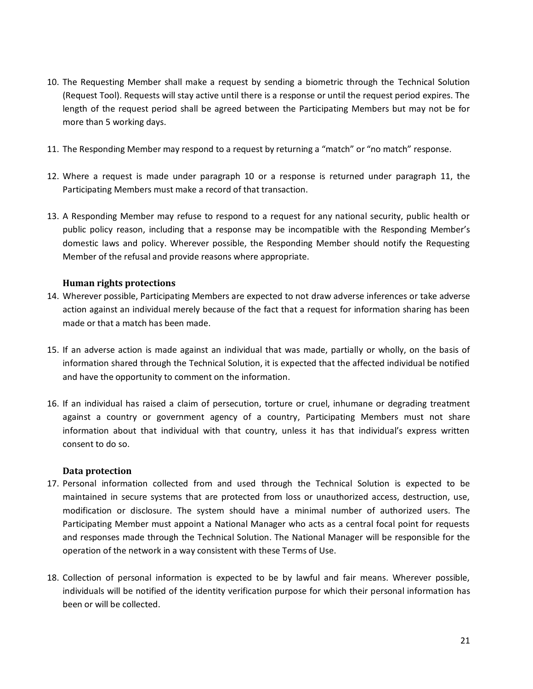- 10. The Requesting Member shall make a request by sending a biometric through the Technical Solution (Request Tool). Requests will stay active until there is a response or until the request period expires. The length of the request period shall be agreed between the Participating Members but may not be for more than 5 working days.
- 11. The Responding Member may respond to a request by returning a "match" or "no match" response.
- 12. Where a request is made under paragraph 10 or a response is returned under paragraph 11, the Participating Members must make a record of that transaction.
- 13. A Responding Member may refuse to respond to a request for any national security, public health or public policy reason, including that a response may be incompatible with the Responding Member's domestic laws and policy. Wherever possible, the Responding Member should notify the Requesting Member of the refusal and provide reasons where appropriate.

### **Human rights protections**

- 14. Wherever possible, Participating Members are expected to not draw adverse inferences or take adverse action against an individual merely because of the fact that a request for information sharing has been made or that a match has been made.
- 15. If an adverse action is made against an individual that was made, partially or wholly, on the basis of information shared through the Technical Solution, it is expected that the affected individual be notified and have the opportunity to comment on the information.
- 16. If an individual has raised a claim of persecution, torture or cruel, inhumane or degrading treatment against a country or government agency of a country, Participating Members must not share information about that individual with that country, unless it has that individual's express written consent to do so.

### **Data protection**

- 17. Personal information collected from and used through the Technical Solution is expected to be maintained in secure systems that are protected from loss or unauthorized access, destruction, use, modification or disclosure. The system should have a minimal number of authorized users. The Participating Member must appoint a National Manager who acts as a central focal point for requests and responses made through the Technical Solution. The National Manager will be responsible for the operation of the network in a way consistent with these Terms of Use.
- 18. Collection of personal information is expected to be by lawful and fair means. Wherever possible, individuals will be notified of the identity verification purpose for which their personal information has been or will be collected.